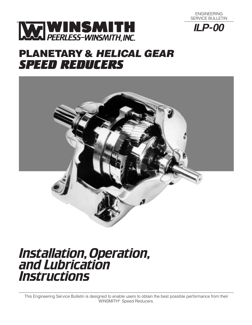





# **PLANETARY& HELICAL GEAR** *SPEED REDUCERS*



# *Installation,Operation, and Lubrication Instructions*

This Engineering Service Bulletin is designed to enable users to obtain the best possible performance from their WINSMITH® Speed Reducers.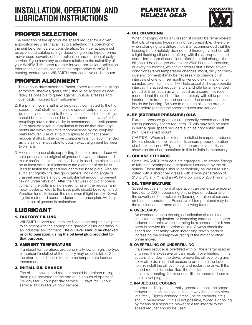# **INSTALLATION, OPERATION AND LUBRICATION INSTRUCTIONS**

## **PROPER SELECTION**

The selection of the appropriate speed reducer for a given application requires that all factors affecting the operation of the unit be given careful consideration. Service factors must be applied to catalog ratings depending on the type of prime mover used, severity of the application and duration of daily service. If you have any questions relative to the suitability of your WINSMITH® speed reducer for your particular application, refer to the selection section of the appropriate WINSMITH catalog, contact your WINSMITH representative or distributor.

### **PROPER ALIGNMENT**

- 1. The various drive members (motor, speed reducer, couplings, sprockets, sheaves, gears, etc.) should be aligned as accurately as possible to guard against unusual stresses and overloads imposed by misalignment.
- 2. If a prime mover shaft is to be directly connected to the high speed (input) shaft; or if the slow speed (output) shaft is to be directly connected to the driven shaft, flexible couplings should be used. It should be remembered that even flexible couplings have limited ability to accommodate misalignment. Care must be taken at installation to insure that shaft alignments are within the limits recommended by the coupling manufacturer. Use of a rigid coupling to connect speed reducer shafts to other drive components is not recommended as it is almost impossible to obtain exact alignment between two shafts.
- 3. A common base plate supporting the motor and reducer will help preserve the original alignment between reducer and motor shafts. If a structural steel base is used, the plate should be at least equal in thickness to the diameter of the bolts used to fasten the speed reducer to the base plate. Also, for sufficient rigidity, the design in general including angle or channel members should be substantial enough to prevent flexing under vibration. After the first week or two of operation all of the bolts and nuts used to fasten the reducer and motor, pedestal, etc., to the base plate should be retightened. Vibration tends to loosen the nuts even if tight initially. Dowelling the motor and speed reducer to the base plate will help insure that alignment is maintained.

## **LUBRICANT**

#### **1. FACTORY FILLING**

WINSMITH speed reducers are filled to the proper level prior to shipment with the appropriate grade of oil for operation in an industrial environment. **The oil level should be checked prior to operation, using the oil level plug provided for that purpose.**

#### **2. AMBIENT TEMPERATURE**

If ambient temperatures are abnormally low or high, the type of lubricant installed at the factory may be unsuitable. See the chart in this bulletin for extreme temperature lubricant recommendations.

#### **3. INITIAL OIL CHANGE**

The oil in a new speed reducer should be drained (using the drain plug provided) at the end of 250 hours of operation. (30 days for 8 hour per day service, 15 days for 16 hour service, 10 days for 24 hour service).



#### **4. OIL CHANGING**

When changing oil for any reason, it should be remembered that oils of various types may not be compatible. Therefore, when changing to a different oil, it is recommended that the housing be completely drained and thoroughly flushed with a light flushing oil prior to refilling with the appropriate lubricant. Under normal conditions, after the initial change, the oil should be changed after every 2500 hours of operation, or every six months, whichever occurs first. Under severe conditions (rapid temperature changes, moist, dirty or corrosive environment) it may be necessary to change oil at intervals of one to three months. Periodic examination of oil samples taken from the unit will help establish the appropriate interval. If a speed reducer is to stand idle for an extended period of time, (such as when used as a spare) it is recommended that the unit be filled completely with oil to protect interior parts from rust and corrosion due to condensation inside the housing. Be sure to drain the oil to the proper level before placing the speed reducer into service.

#### **5. EP (EXTREME PRESSURE) OILS**

Extreme pressure gear oils are generally recommended for use in planetary speed reducers. EP oils may also be used in helical gear speed reducers such as concentric shaft (W/H Gear) shaft mount.

CAUTION: When a backstop is installed in a speed reducer, EP oils should not be installed. To assure proper operation of a backstop, non-EP gear oil of the proper viscosity as shown on the chart contained in this bulletin is mandatory.

#### **6. GREASE FITTINGS**

Some WINSMITH reducers are equipped with grease fittings to lubricate bearings not adequately lubricated by the oil splash. These fittings should periodically be pressure lubricated with a short fiber grease with a work penetration of 310 to 340 at 77°F and an ASTM drop point of 250°F minimum.

#### **7. OIL TEMPERATURE**

Speed reducers in normal operation can generate temperatures up to 200°F depending on the type of reducer and the severity of the application (loading, duration of service, ambient temperatures). Excessive oil temperatures may be the result of one or more of the following factors:

#### **A. OVERLOADS**

An overload, due to the original selection of a unit too small for the application, or increasing loads on the speed reducer to a point where its rating is exceeded after it has been in service for a period of time. Always check the speed reducer rating when increasing driven loads or increasing the horsepower rating of the motor or other prime mover.

#### **B. OVERFILLING OR UNDERFILLING**

If a speed reducer is overfilled with oil, the energy used in churning the excessive oil can result in overheating. If this occurs, shut down the drive, remove the oil level plug and allow oil to drain until oil ceases to drain from the level hole, reinstall the oil level plug, and restart the drive. If the speed reducer is underfilled, the resultant friction can cause overheating. If this occurs, fill the speed reducer to the oil level plug hole.

#### **C. INADEQUATE COOLING**

In order to dissipate internally generated heat, the speed reducer must be installed in such a way that air can circulate freely. Tightly confined areas (inside cabinets, etc.) should be avoided. If this is not possible, forced air cooling by means of a separate blower or a fan integral to the speed reducer should be used.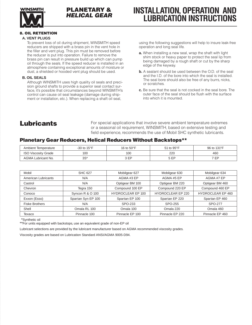

### **PLANETARY & HELICAL GEAR**

# **INSTALLATION, OPERATION AND LUBRICATION INSTRUCTIONS**

#### **8. OIL RETENTION**

#### **A. VENT PLUGS**

To prevent loss of oil during shipment, WINSMITH speed reducers are shipped with a brass pin in the vent hole in the filler and vent plug. This pin must be removed before the reducer is put into operation. Failure to remove the brass pin can result in pressure build up which can pump oil through the seals. If the speed reducer is installed in an atmosphere containing exceptional amounts of moisture or dust, a shielded or hooded vent plug should be used.

#### **B. OIL SEALS**

Although WINSMITH uses high quality oil seals and precision ground shafts to provide a superior seal contact surface, it's possible that circumstances beyond WINSMITH's control can cause oil seal leakage (damage during shipment or installation, etc.). When replacing a shaft oil seal,

using the following suggestions will help to insure leak-free operation and long seal life.

- **a.** When installing a new seal, wrap the shaft with light shim stock or heavy paper to protect the seal lip from being damaged by a rough shaft or cut by the sharp edge of the keyway.
- **b.** A sealant should be used between the O.D. of the seal and the I.D. of the bore into which the seal is installed. The seal bore should also be free of any burrs, nicks, or scratches.
- **c.** Be sure that the seal is not cocked in the seal bore. The outer face of the seal should be flush with the surface into which it is mounted.

# **Lubricants**

For special applications that involve severe ambient temperature extremes or a seasonal oil requirement, WINSMITH, based on extensive testing and field experience, recommends the use of Mobil SHC synthetic lubricants.

#### **Planetary Gear Reducers, Helical Reducers Without Backstops\*\***

| Ambient Temperature        | -30 to $15^{\circ}$ F | 16 to 50°F | 51 to 95°F | 96 to 131°F |
|----------------------------|-----------------------|------------|------------|-------------|
| <b>ISO Viscosity Grade</b> | 100                   | 100        | 220        | 460         |
| <b>AGMA Lubricant No.</b>  | 3S*                   | ED         | ς ⊏D       | 7 ED<br>-   |

| Mobil                 | <b>SHC 627</b>     | Mobilgear 627            | Mobilgear 630            | Mobilgear 634            |
|-----------------------|--------------------|--------------------------|--------------------------|--------------------------|
| American Lubricants   | N/A                | AGMA#3 EP                | AGMA#5EP                 | AGMA #7 EP               |
| Castrol               | N/A                | Optigear BM 100          | Optigear BM 220          | Optigear BM 460          |
| Chevron               | Tegra 150          | Compound 100 EP          | Compound 220 EP          | Compound 460 EP          |
| Conoco                | Syncon R & O 100   | <b>HYDROCLEAR EP 100</b> | <b>HYDROCLEAR EP 220</b> | <b>HYDROCLEAR EP 460</b> |
| Exxon (Esso)          | Spartan Syn EP 100 | Spartan EP 100           | Spartan EP 220           | Spartan EP 460           |
| <b>Fiske Brothers</b> | N/A                | SPO-233                  | SPO-255                  | SPO-277                  |
| Shell                 | Omala RL 100       | Omala 100                | Omala 220                | Omala 460                |
| Texaco                | Pinnacle 100       | Pinnacle EP 100          | Pinnacle EP 220          | Pinnacle EP 460          |

\*\*Synthetic oil

\*\*For units equipped with backstops, use an equivalent grade of non-EP oil

Lubricant selections are provided by the lubricant manufacturer based on AGMA recommended viscosity grades.

Viscosity grades are based on Lubrication Standard ANSI/AGMA 9005-D94.